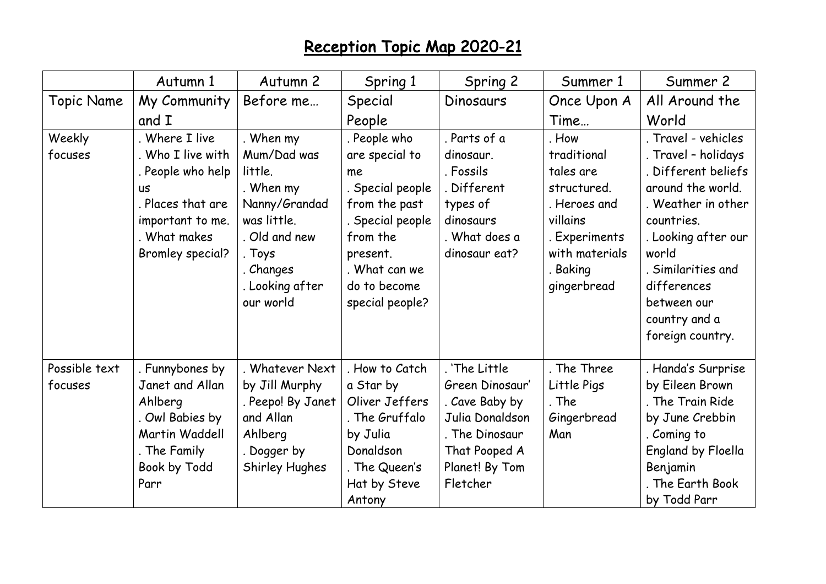## Reception Topic Map 2020-21

|                   | Autumn 1                | Autumn 2          | Spring 1         | Spring 2        | Summer 1       | Summer 2                |
|-------------------|-------------------------|-------------------|------------------|-----------------|----------------|-------------------------|
| <b>Topic Name</b> | My Community            | Before me         | Special          | Dinosaurs       | Once Upon A    | All Around the          |
|                   | and I                   |                   | People           |                 | Time           | World                   |
| Weekly            | . Where I live          | . When my         | . People who     | . Parts of a    | . How          | . Travel - vehicles     |
| focuses           | . Who I live with       | Mum/Dad was       | are special to   | dinosaur.       | traditional    | . Travel - holidays     |
|                   | . People who help       | little.           | me               | . Fossils       | tales are      | Different beliefs       |
|                   | <b>US</b>               | . When my         | . Special people | Different       | structured.    | around the world.       |
|                   | . Places that are       | Nanny/Grandad     | from the past    | types of        | . Heroes and   | . Weather in other      |
|                   | important to me.        | was little.       | . Special people | dinosaurs       | villains       | countries.              |
|                   | . What makes            | Old and new       | from the         | . What does a   | . Experiments  | . Looking after our     |
|                   | <b>Bromley special?</b> | . Toys            | present.         | dinosaur eat?   | with materials | world                   |
|                   |                         | . Changes         | . What can we    |                 | . Baking       | <b>Similarities and</b> |
|                   |                         | . Looking after   | do to become     |                 | gingerbread    | differences             |
|                   |                         | our world         | special people?  |                 |                | between our             |
|                   |                         |                   |                  |                 |                | country and a           |
|                   |                         |                   |                  |                 |                | foreign country.        |
| Possible text     | . Funnybones by         | . Whatever Next   | . How to Catch   | . 'The Little   | . The Three    | Handa's Surprise        |
| focuses           | Janet and Allan         | by Jill Murphy    | a Star by        | Green Dinosaur' | Little Pigs    | by Eileen Brown         |
|                   | Ahlberg                 | . Peepo! By Janet | Oliver Jeffers   | . Cave Baby by  | . The          | . The Train Ride        |
|                   | Owl Babies by           | and Allan         | . The Gruffalo   | Julia Donaldson | Gingerbread    | by June Crebbin         |
|                   | Martin Waddell          | Ahlberg           | by Julia         | . The Dinosaur  | Man            | Coming to               |
|                   | . The Family            | . Dogger by       | Donaldson        | That Pooped A   |                | England by Floella      |
|                   | Book by Todd            | Shirley Hughes    | . The Queen's    | Planet! By Tom  |                | Benjamin                |
|                   | Parr                    |                   | Hat by Steve     | Fletcher        |                | . The Earth Book        |
|                   |                         |                   | Antony           |                 |                | by Todd Parr            |